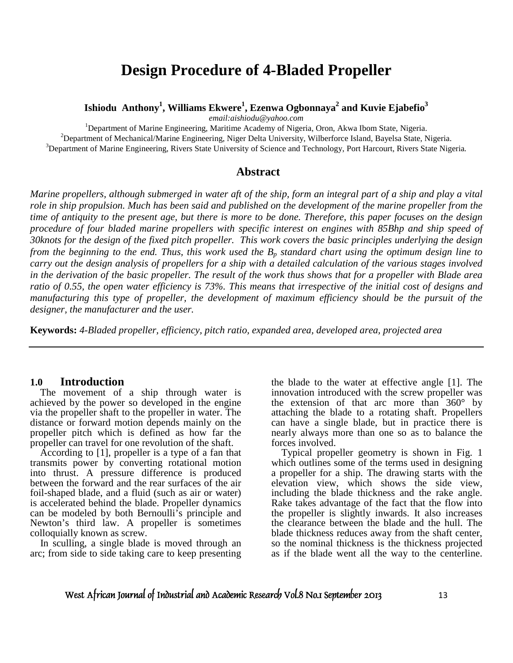# **Design Procedure of 4-Bladed Propeller**

**Ishiodu Anthony<sup>1</sup> , Williams Ekwere<sup>1</sup> , Ezenwa Ogbonnaya<sup>2</sup> and Kuvie Ejabefio<sup>3</sup>**

*email:aishiodu@yahoo.com*

<sup>1</sup>Department of Marine Engineering, Maritime Academy of Nigeria, Oron, Akwa Ibom State, Nigeria.  $2$ Department of Mechanical/Marine Engineering, Niger Delta University, Wilberforce Island, Bayelsa State, Nigeria. <sup>3</sup>Department of Marine Engineering, Rivers State University of Science and Technology, Port Harcourt, Rivers State Nigeria*.* 

### **Abstract**

*Marine propellers, although submerged in water aft of the ship, form an integral part of a ship and play a vital role in ship propulsion. Much has been said and published on the development of the marine propeller from the time of antiquity to the present age, but there is more to be done. Therefore, this paper focuses on the design procedure of four bladed marine propellers with specific interest on engines with 85Bhp and ship speed of 30knots for the design of the fixed pitch propeller. This work covers the basic principles underlying the design from the beginning to the end. Thus, this work used the Bp standard chart using the optimum design line to carry out the design analysis of propellers for a ship with a detailed calculation of the various stages involved in the derivation of the basic propeller. The result of the work thus shows that for a propeller with Blade area ratio of 0.55, the open water efficiency is 73%. This means that irrespective of the initial cost of designs and manufacturing this type of propeller, the development of maximum efficiency should be the pursuit of the designer, the manufacturer and the user.* 

**Keywords:** *4-Bladed propeller, efficiency, pitch ratio, expanded area, developed area, projected area* 

#### **1.0 Introduction**

 The movement of a ship through water is achieved by the power so developed in the engine via the propeller shaft to the propeller in water. The distance or forward motion depends mainly on the propeller pitch which is defined as how far the propeller can travel for one revolution of the shaft.

 According to [1], propeller is a type of a fan that transmits power by converting rotational motion into thrust. A pressure difference is produced between the forward and the rear surfaces of the air foil-shaped blade, and a fluid (such as air or water) is accelerated behind the blade. Propeller dynamics can be modeled by both Bernoulli's principle and Newton's third law. A propeller is sometimes colloquially known as screw.

 In sculling, a single blade is moved through an arc; from side to side taking care to keep presenting the blade to the water at effective angle [1]. The innovation introduced with the screw propeller was the extension of that arc more than  $360^{\circ}$  by attaching the blade to a rotating shaft. Propellers can have a single blade, but in practice there is nearly always more than one so as to balance the forces involved.

 Typical propeller geometry is shown in Fig. 1 which outlines some of the terms used in designing a propeller for a ship. The drawing starts with the elevation view, which shows the side view, including the blade thickness and the rake angle. Rake takes advantage of the fact that the flow into the propeller is slightly inwards. It also increases the clearance between the blade and the hull. The blade thickness reduces away from the shaft center, so the nominal thickness is the thickness projected as if the blade went all the way to the centerline.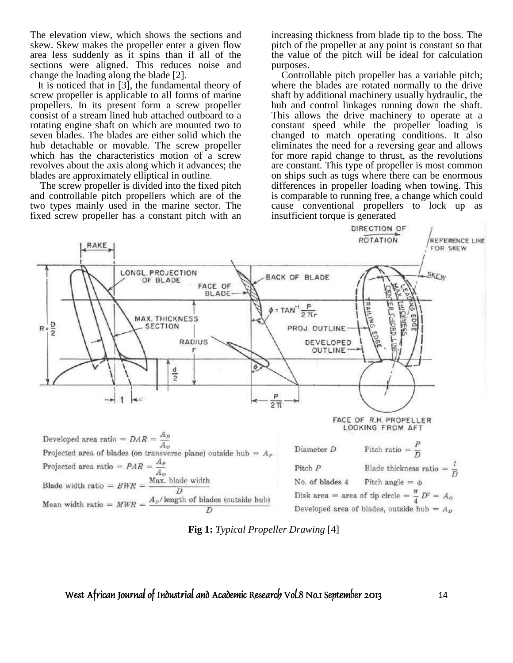The elevation view, which shows the sections and skew. Skew makes the propeller enter a given flow area less suddenly as it spins than if all of the sections were aligned. This reduces noise and change the loading along the blade [2].

 It is noticed that in [3], the fundamental theory of screw propeller is applicable to all forms of marine propellers. In its present form a screw propeller consist of a stream lined hub attached outboard to a rotating engine shaft on which are mounted two to seven blades. The blades are either solid which the hub detachable or movable. The screw propeller which has the characteristics motion of a screw revolves about the axis along which it advances; the blades are approximately elliptical in outline.

 The screw propeller is divided into the fixed pitch and controllable pitch propellers which are of the two types mainly used in the marine sector. The fixed screw propeller has a constant pitch with an

increasing thickness from blade tip to the boss. The pitch of the propeller at any point is constant so that the value of the pitch will be ideal for calculation purposes.

 Controllable pitch propeller has a variable pitch; where the blades are rotated normally to the drive shaft by additional machinery usually hydraulic, the hub and control linkages running down the shaft. This allows the drive machinery to operate at a constant speed while the propeller loading is changed to match operating conditions. It also eliminates the need for a reversing gear and allows for more rapid change to thrust, as the revolutions are constant. This type of propeller is most common on ships such as tugs where there can be enormous differences in propeller loading when towing. This is comparable to running free, a change which could cause conventional propellers to lock up as insufficient torque is generated



**Fig 1:** *Typical Propeller Drawing* [4]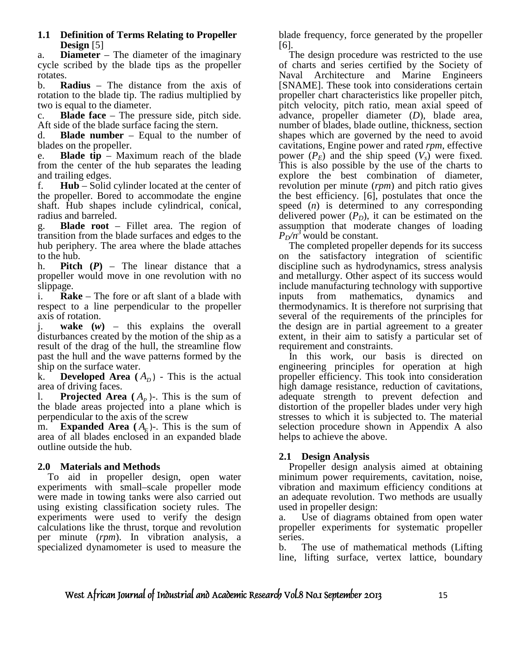### **1.1 Definition of Terms Relating to Propeller Design** [5]

a. **Diameter** – The diameter of the imaginary cycle scribed by the blade tips as the propeller rotates.

b. **Radius** – The distance from the axis of rotation to the blade tip. The radius multiplied by two is equal to the diameter.

c. **Blade face** – The pressure side, pitch side. Aft side of the blade surface facing the stern.

d. **Blade number** – Equal to the number of blades on the propeller.

e. **Blade tip** – Maximum reach of the blade from the center of the hub separates the leading and trailing edges.

f. **Hub** – Solid cylinder located at the center of the propeller. Bored to accommodate the engine shaft. Hub shapes include cylindrical, conical, radius and barreled.

g. **Blade root** – Fillet area. The region of transition from the blade surfaces and edges to the hub periphery. The area where the blade attaches to the hub.

h. **Pitch**  $(P)$  – The linear distance that a propeller would move in one revolution with no slippage.

i. **Rake** – The fore or aft slant of a blade with respect to a line perpendicular to the propeller axis of rotation.

j. **wake (***w***)** – this explains the overall disturbances created by the motion of the ship as a result of the drag of the hull, the streamline flow past the hull and the wave patterns formed by the ship on the surface water.

k. **Developed Area**  $(A_D)$  - This is the actual area of driving faces.

**Projected Area**  $(A_p)$ -. This is the sum of the blade areas projected into a plane which is perpendicular to the axis of the screw

m. **Expanded Area**  $(A_E)$ -. This is the sum of area of all blades enclosed in an expanded blade outline outside the hub.

## **2.0 Materials and Methods**

 To aid in propeller design, open water experiments with small–scale propeller mode were made in towing tanks were also carried out using existing classification society rules. The experiments were used to verify the design calculations like the thrust, torque and revolution per minute (*rpm*). In vibration analysis, a specialized dynamometer is used to measure the blade frequency, force generated by the propeller [6].

 The design procedure was restricted to the use of charts and series certified by the Society of Naval Architecture and Marine Engineers [SNAME]. These took into considerations certain propeller chart characteristics like propeller pitch, pitch velocity, pitch ratio, mean axial speed of advance, propeller diameter (*D*), blade area, number of blades, blade outline, thickness, section shapes which are governed by the need to avoid cavitations, Engine power and rated *rpm*, effective power  $(P_E)$  and the ship speed  $(V_s)$  were fixed. This is also possible by the use of the charts to explore the best combination of diameter, revolution per minute (*rpm*) and pitch ratio gives the best efficiency. [6], postulates that once the speed (*n*) is determined to any corresponding delivered power  $(P_D)$ , it can be estimated on the assumption that moderate changes of loading  $P_D/n^3$  would be constant.

 The completed propeller depends for its success on the satisfactory integration of scientific discipline such as hydrodynamics, stress analysis and metallurgy. Other aspect of its success would include manufacturing technology with supportive inputs from mathematics, dynamics and thermodynamics. It is therefore not surprising that several of the requirements of the principles for the design are in partial agreement to a greater extent, in their aim to satisfy a particular set of requirement and constraints.

 In this work, our basis is directed on engineering principles for operation at high propeller efficiency. This took into consideration high damage resistance, reduction of cavitations, adequate strength to prevent defection and distortion of the propeller blades under very high stresses to which it is subjected to. The material selection procedure shown in Appendix A also helps to achieve the above.

# **2.1 Design Analysis**

 Propeller design analysis aimed at obtaining minimum power requirements, cavitation, noise, vibration and maximum efficiency conditions at an adequate revolution. Two methods are usually used in propeller design:

a. Use of diagrams obtained from open water propeller experiments for systematic propeller series.

b. The use of mathematical methods (Lifting line, lifting surface, vertex lattice, boundary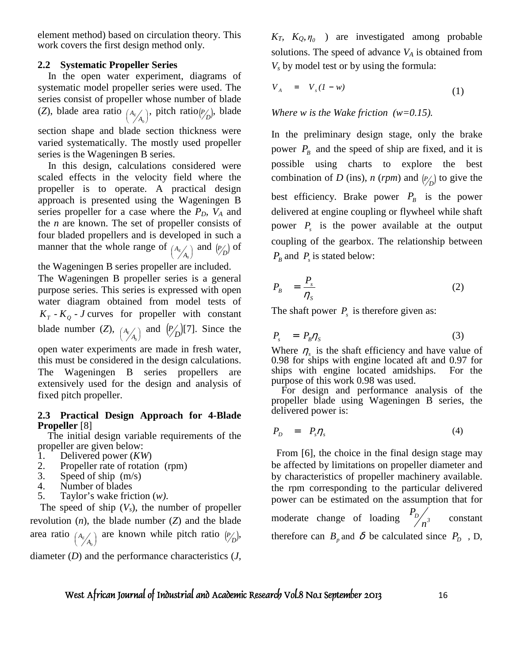element method) based on circulation theory. This work covers the first design method only.

## **2.2 Systematic Propeller Series**

 In the open water experiment, diagrams of systematic model propeller series were used. The series consist of propeller whose number of blade (*Z*), blade area ratio  $A_E / A_0$  $\left(\frac{A_E}{\diagup A_0}\right)$ ſ  $\binom{A_E}{A_0}$ , pitch ratio( $\binom{P}{D}$ , blade section shape and blade section thickness were varied systematically. The mostly used propeller series is the Wageningen B series.

 In this design, calculations considered were scaled effects in the velocity field where the propeller is to operate. A practical design approach is presented using the Wageningen B series propeller for a case where the *PD, VA* and the *n* are known. The set of propeller consists of four bladed propellers and is developed in such a manner that the whole range of  $A_{\epsilon}\begin{pmatrix} A_{\epsilon} \\ A_0 \end{pmatrix}$  $\left(\frac{A_E}{\diagup A_0}\right)$ ſ  $\binom{A_E}{A_0}$  and  $\binom{P}{D}$  of

the Wageningen B series propeller are included.

The Wageningen B propeller series is a general purpose series. This series is expressed with open water diagram obtained from model tests of  $K_T$  -  $K_Q$  - *J* curves for propeller with constant blade number  $(Z)$ ,  $A_E / A_0$  $\left(\frac{A_E}{A_0}\right)$ ſ  $\binom{A_E}{A_0}$  and  $\binom{P}{D}$ [7]. Since the open water experiments are made in fresh water,

this must be considered in the design calculations. The Wageningen B series propellers are extensively used for the design and analysis of fixed pitch propeller.

### **2.3 Practical Design Approach for 4-Blade Propeller** [8]

 The initial design variable requirements of the propeller are given below:

- 1. Delivered power (*KW*)
- 2. Propeller rate of rotation (rpm)
- 3. Speed of ship (m/s)
- 4. Number of blades
- 5. Taylor's wake friction (*w)*.

The speed of ship  $(V_s)$ , the number of propeller revolution (*n*), the blade number (*Z*) and the blade area ratio  $A_{\epsilon}\begin{pmatrix} A_{\epsilon} \\ A_0 \end{pmatrix}$  $\left(\frac{A_E}{A_0}\right)$ ſ  $A_{E/A_0}$  are known while pitch ratio  $(P/D)$ ,

diameter (*D*) and the performance characteristics (*J,* 

 $K_T$ ,  $K_Q$ ,  $\eta$ <sub>0</sub> ) are investigated among probable solutions. The speed of advance  $V_A$  is obtained from  $V_s$  by model test or by using the formula:

$$
V_A = V_s (1 - w) \tag{1}
$$

*Where w is the Wake friction (w=0.15).* 

In the preliminary design stage, only the brake power  $P_B$  and the speed of ship are fixed, and it is possible using charts to explore the best combination of *D* (ins), *n* (*rpm*) and  $\binom{p}{D}$  to give the best efficiency. Brake power  $P_B$  is the power delivered at engine coupling or flywheel while shaft power *P<sup>s</sup>* is the power available at the output coupling of the gearbox. The relationship between  $P_B$  and  $P_s$  is stated below:

$$
P_B = \frac{P_s}{\eta_s} \tag{2}
$$

The shaft power  $P_s$  is therefore given as:

$$
P_s = P_B \eta_s \tag{3}
$$

Where  $\eta_s$  is the shaft efficiency and have value of 0.98 for ships with engine located aft and 0.97 for ships with engine located amidships. For the purpose of this work 0.98 was used.

 For design and performance analysis of the propeller blade using Wageningen B series, the delivered power is:

$$
P_D = P_s \eta_s \tag{4}
$$

 From [6], the choice in the final design stage may be affected by limitations on propeller diameter and by characteristics of propeller machinery available. the rpm corresponding to the particular delivered power can be estimated on the assumption that for moderate change of loading  $\frac{1}{2} p_{n^3}$ *P* constant therefore can  $B_p$  and  $\delta$  be calculated since  $P_p$ , D,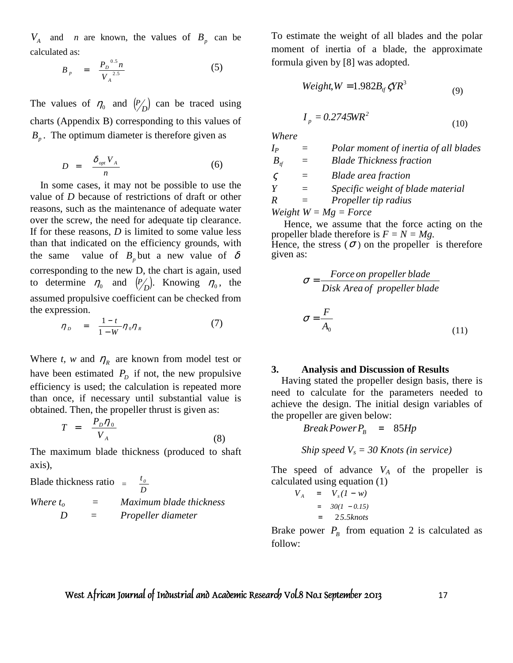$V_A$  and *n* are known, the values of  $B_p$  can be calculated as:

$$
B_{p} = \frac{P_{D}^{0.5} n}{V_{A}^{2.5}}
$$
 (5)

The values of  $\eta_0$  and  $\left(\frac{P}{D}\right)$  can be traced using charts (Appendix B) corresponding to this values of  $B_p$ . The optimum diameter is therefore given as

$$
D = \frac{\delta_{opt} V_A}{n} \tag{6}
$$

 In some cases, it may not be possible to use the value of *D* because of restrictions of draft or other reasons, such as the maintenance of adequate water over the screw, the need for adequate tip clearance. If for these reasons, *D* is limited to some value less than that indicated on the efficiency grounds, with the same value of  $B_p$  but a new value of  $\delta$ corresponding to the new D, the chart is again, used to determine  $\eta_0$  and  $\left(\frac{p}{p}\right)$ . Knowing  $\eta_0$ , the assumed propulsive coefficient can be checked from the expression.

$$
\eta_{D} = \frac{1-t}{1-W} \eta_0 \eta_R \tag{7}
$$

Where *t*, *w* and  $\eta_R$  are known from model test or have been estimated  $P<sub>D</sub>$  if not, the new propulsive efficiency is used; the calculation is repeated more than once, if necessary until substantial value is obtained. Then, the propeller thrust is given as:

$$
T = \frac{P_D \eta_0}{V_A} \tag{8}
$$

The maximum blade thickness (produced to shaft axis),

Blade thickness ratio = 
$$
\frac{t_0}{D}
$$

\nWhere  $t_0$  = *Maximum blade thickness*

\n $D$  = *Propeller diameter*

To estimate the weight of all blades and the polar moment of inertia of a blade, the approximate formula given by [8] was adopted.

$$
Weight, W = 1.982B_{rf} \zeta YR^3 \tag{9}
$$

$$
I_p = 0.2745 \text{WR}^2 \tag{10}
$$

*Where* 

| $I_{\it P}$                 |          | Polar moment of inertia of all blades |
|-----------------------------|----------|---------------------------------------|
| $B_{\scriptscriptstyle{t}}$ |          | <b>Blade Thickness fraction</b>       |
| $\varsigma$                 |          | <b>Blade area fraction</b>            |
| Y                           | $\equiv$ | Specific weight of blade material     |
| R                           |          | <i>Propeller tip radius</i>           |
|                             |          | Weight $W = Mg = Force$               |

 Hence, we assume that the force acting on the propeller blade therefore is  $F = N = Mg$ . Hence, the stress  $(\sigma)$  on the propeller is therefore given as:

$$
\sigma = \frac{Force \ on \ propeller \ blade}{Disk \ Area \ of \ propeller \ blade}
$$

$$
\sigma = \frac{F}{A_0}
$$
(11)

#### **3. Analysis and Discussion of Results**

 Having stated the propeller design basis, there is need to calculate for the parameters needed to achieve the design. The initial design variables of the propeller are given below:

 $BreakPowerP<sub>B</sub> = 85Hp$ 

 *Ship speed Vs = 30 Knots (in service)* 

The speed of advance  $V_A$  of the propeller is calculated using equation (1)

$$
V_A = V_s (1 - w)
$$
  
= 30(1 - 0.15)  
= 25.5knots

Brake power  $P_B$  from equation 2 is calculated as follow: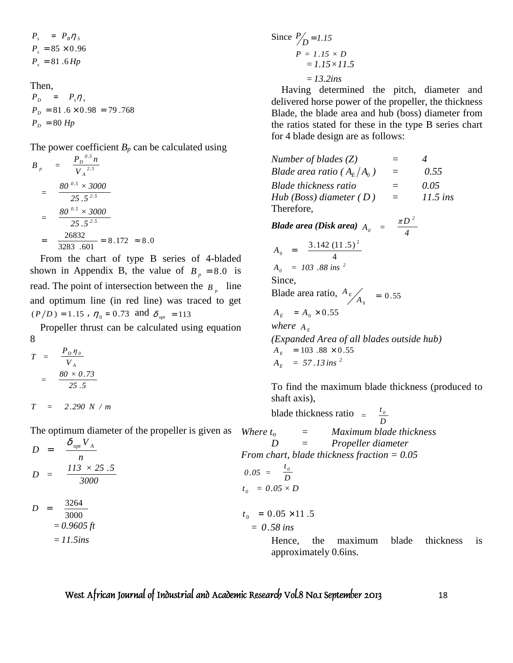$$
P_s = P_B \eta_s
$$
  
\n
$$
P_s = 85 \times 0.96
$$
  
\n
$$
P_s = 81.6 \, Hp
$$

Then,

 $P_{D} = 80$  *Hp*  $P_D = 81.6 \times 0.98 = 79.768$  $P_D$  =  $P_s \eta_s$ 

The power coefficient  $B_p$  can be calculated using

$$
B_p = \frac{P_D^{0.5} n}{V_A^{2.5}}
$$
  
= 
$$
\frac{80^{0.5} \times 3000}{25.5^{2.5}}
$$
  
= 
$$
\frac{80^{0.5} \times 3000}{25.5^{2.5}}
$$
  
= 
$$
\frac{26832}{3283.601} = 8.172 \approx 8.0
$$

 From the chart of type B series of 4-bladed shown in Appendix B, the value of  $B_p = 8.0$  is read. The point of intersection between the  $B_p$  line and optimum line (in red line) was traced to get  $(P/D) = 1.15$ ,  $\eta_0 = 0.73$  and  $\delta_{opt} = 113$ 

 Propeller thrust can be calculated using equation 8

$$
T = \frac{P_D \eta_o}{V_A}
$$

$$
= \frac{80 \times 0.73}{25.5}
$$

 $T = 2.290 N / m$ 

The optimum diameter of the propeller is given as *Where*  $t_o$ 

$$
D = \frac{\delta_{opt} V_{A}}{n}
$$
  
\n
$$
D = \frac{113 \times 25.5}{3000}
$$
  
\n
$$
D = \frac{3264}{3000}
$$
  
\n
$$
= 0.9605 ft
$$
  
\n
$$
T_{0} = 0.
$$
  
\n
$$
t_{0} = 0.
$$
  
\n
$$
t_{0} = 0.
$$
  
\n
$$
t_{1} = 0.
$$
  
\n
$$
= 0.35
$$
  
\n
$$
t_{2} = 0.
$$

Since 
$$
P/D = 1.15
$$
  
\n $P = 1.15 \times D$   
\n $= 1.15 \times 11.5$   
\n $= 13.2ins$ 

 Having determined the pitch, diameter and delivered horse power of the propeller, the thickness Blade, the blade area and hub (boss) diameter from the ratios stated for these in the type B series chart for 4 blade design are as follows:

*Number of blades (Z) = 4 Blade area ratio* ( $A_F/A_o$ )  $=$   $0.55$ *Blade thickness ratio = 0.05 Hub (Boss) diameter (D)* =  $11.5$  *ins* Therefore, *Blade area (Disk area) 4*  $A_{\scriptscriptstyle O}$  =  $\frac{\pi D}{4}$ *2 0 π* = 4  $A_0 = \frac{3.142 (11.5)^2}{4}$  $A_0$  = 103.88 ins<sup>2</sup> Since, Blade area ratio,  $A_E / A_0 = 0.55$ *A E*  $A_E$  =  $A_0 \times 0.55$ *where*  $A_E$ *(Expanded Area of all blades outside hub)*   $A_F = 103.88 \times 0.55$  $A_E$  = 57.13 ins<sup>2</sup>

To find the maximum blade thickness (produced to shaft axis),

blade thickness ratio *D*  $=\frac{t_0}{R}$ *Where to = Maximum blade thickness D = Propeller diameter From chart, blade thickness fraction = 0.05 D t 0*  $0.05 \times D$  $t_{0}$  = 0.05  $\times$  11.5 = *58.0 ins* Hence, the maximum blade thickness is approximately 0.6ins.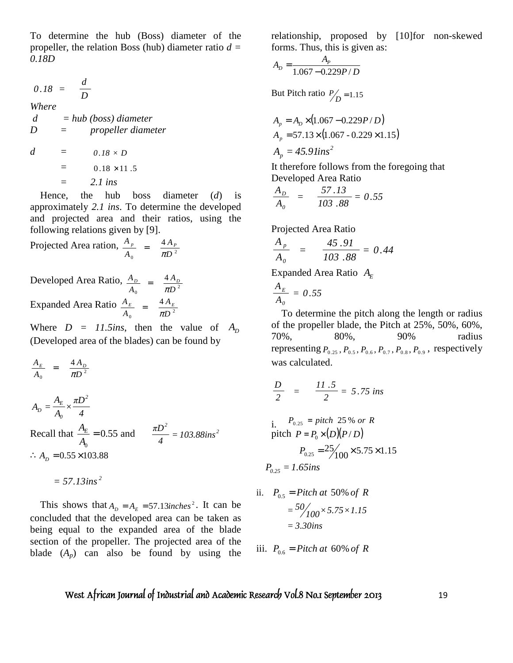To determine the hub (Boss) diameter of the propeller, the relation Boss (hub) diameter ratio *d = 0.18D*

$$
0.18 = \frac{d}{D}
$$

*Where d = hub (boss) diameter D = propeller diameter* 

 $d = 0.18 \times D$  $= 0.18 \times 11.5$  $=$  2.1 ins

 Hence, the hub boss diameter (*d*) is approximately *2.1 ins*. To determine the developed and projected area and their ratios, using the following relations given by [9].

Projected Area ration,  $\frac{A_p}{A_0} = \frac{4A_p}{\pi D^2}$ 4 *D A A*  $A_{p}$  4 $A_{p}$  $=$   $\frac{1}{\pi}$ 

Developed Area Ratio,  $\frac{A_D}{A_0} = \frac{4 A_D}{\pi D^2}$ 4 *D A A*  $A_{D}$   $A_{D}$  $=\frac{4 A_D}{\pi D^2}$ Expanded Area Ratio  $\frac{A_E}{A_0} = \frac{4A_E}{\pi D^2}$ 4 *D A A*  $A_E$ <sup>*E*</sup>  $=$  4 $A_E$  $=$   $\frac{1}{\pi}$ 

Where  $D = 11.5$ *ins*, then the value of  $A_D$ (Developed area of the blades) can be found by

$$
\frac{A_E}{A_0} = \frac{4 A_D}{\pi D^2}
$$
\n
$$
A_D = \frac{A_E}{A_0} \times \frac{\pi D^2}{4}
$$
\nRecall that  $\frac{A_E}{A_0} = 0.55$  and  $\frac{\pi D^2}{4} = 103.88 \text{ins}^2$ \n
$$
\therefore A_D = 0.55 \times 103.88
$$

 $= 57.13$  *ins*<sup>2</sup>

This shows that  $A_D = A_E = 57.13$  *inches*<sup>2</sup>. It can be concluded that the developed area can be taken as being equal to the expanded area of the blade section of the propeller. The projected area of the blade  $(A_p)$  can also be found by using the relationship, proposed by [10]for non-skewed forms. Thus, this is given as:

$$
A_D = \frac{A_P}{1.067 - 0.229P/D}
$$

But Pitch ratio  $P/D = 1.15$ 

$$
A_p = A_D \times (1.067 - 0.229 P/D)
$$
  
\n
$$
A_p = 57.13 \times (1.067 - 0.229 \times 1.15)
$$
  
\n
$$
A_p = 45.9 \text{lins}^2
$$

It therefore follows from the foregoing that Developed Area Ratio

$$
\frac{A_D}{A_o} = \frac{57.13}{103.88} = 0.55
$$

Projected Area Ratio

$$
\frac{A_p}{A_o} = \frac{45.91}{103.88} = 0.44
$$

Expanded Area Ratio  $A_E$ 

$$
\frac{A_E}{A_0} = 0.55
$$

 To determine the pitch along the length or radius of the propeller blade, the Pitch at 25%, 50%, 60%, 70%, 80%, 90% radius representing  $P_{0.25}$ ,  $P_{0.5}$ ,  $P_{0.6}$ ,  $P_{0.7}$ ,  $P_{0.8}$ ,  $P_{0.9}$ , respectively was calculated.

$$
\frac{D}{2} = \frac{11.5}{2} = 5.75 \text{ ins}
$$

i. 
$$
P_{0.25} = pitch \ 25\% \ or \ R
$$
  
pitch  $P = P_0 \times (D)(P/D)$   
 $P_{0.25} = 25/100 \times 5.75 \times 1.15$   
 $P_{0.25} = 1.65ins$ 

ii. 
$$
P_{0.5} = \text{Pitch at } 50\% \text{ of } R
$$
  
=  $\frac{50}{100} \times 5.75 \times 1.15$   
= 3.30ins

iii.  $P_{0.6} =$  *Pitch at* 60% *of R*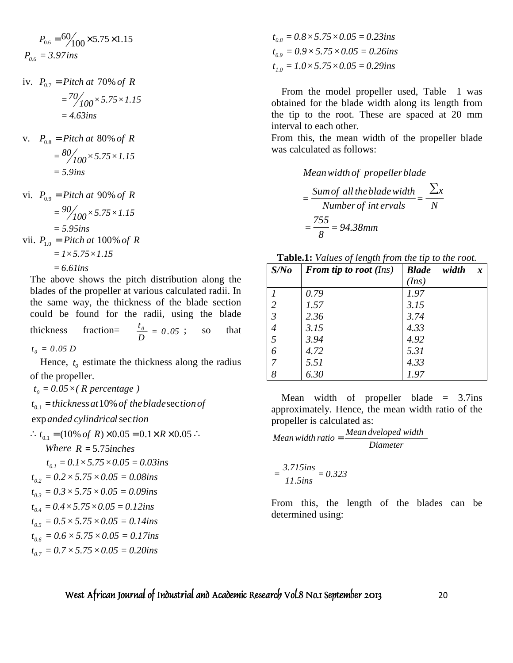$$
P_{0.6} = \frac{60}{100} \times 5.75 \times 1.15
$$
  

$$
P_{0.6} = 3.97 \text{ ins}
$$

iv.  $P_{07} = Pitch \, at \, 70\% \, of \, R$ 

$$
= \frac{70}{100} \times 5.75 \times 1.15
$$

$$
= 4.63
$$
ins

- *v.*  $P_{0.8} =$  *Pitch at* 80% *of R 5.9ins* =  $\frac{1}{100}$   $\times$  5.75  $\times$  1.15  $=$ <sup>80</sup>/<sub>100</sub>  $\times$  5.75  $\times$
- vi.  $P_{0.9} = Pitch$  *at* 90% *of R 5.95ins* =  $\int$ *100*×5.75×1.15  $= 90/100 \times 5.75 \times$ vii.  $P_{1.0} =$  *Pitch at* 100% *of R*  $= I \times 5.75 \times 1.15$ 
	- $= 6.6$ *lins*

The above shows the pitch distribution along the blades of the propeller at various calculated radii. In the same way, the thickness of the blade section could be found for the radii, using the blade thickness fraction=  $\frac{v_0}{D} = 0.05$  $\frac{t_0}{D} = 0.05$ ; so that  $t_0 = 0.05 D$ 

Hence,  $t_0$  estimate the thickness along the radius of the propeller.

 $t_o = 0.05 \times (R \text{ percentage})$ 

 $t_{0.1}$  = thickness at 10% of the blade section of

 $exp$  *anded cylindrical* section

$$
\therefore t_{0.1} = (10\% \text{ of } R) \times 0.05 = 0.1 \times R \times 0.05 \therefore
$$

*Where*  $R = 5.75$  *inches*  $t_{0,1} = 0.1 \times 5.75 \times 0.05 = 0.03$ ins  $t_{0.2} = 0.2 \times 5.75 \times 0.05 = 0.08$ ins  $t_{0.3} = 0.3 \times 5.75 \times 0.05 = 0.09$ ins  $t_{0.4} = 0.4 \times 5.75 \times 0.05 = 0.12$ ins  $t_{0.5} = 0.5 \times 5.75 \times 0.05 = 0.14$ *ins*  $t_{0.6} = 0.6 \times 5.75 \times 0.05 = 0.17$ ins  $t_{0.7} = 0.7 \times 5.75 \times 0.05 = 0.20$ ins

 $t_{0.8} = 0.8 \times 5.75 \times 0.05 = 0.23$ ins  $t_{0.9} = 0.9 \times 5.75 \times 0.05 = 0.26$ ins  $t_{10} = 1.0 \times 5.75 \times 0.05 = 0.29$ ins

 From the model propeller used, Table 1 was obtained for the blade width along its length from the tip to the root. These are spaced at 20 mm interval to each other.

From this, the mean width of the propeller blade was calculated as follows:

*Meanwidth of propellerblade*

*N x Number of int ervals*  $=\frac{Sum of all the blade width}{N} = \frac{\sum x}{N}$ *94 38. mm 8 755*  $=\frac{1}{\alpha}$  =

**Table.1:** *Values of length from the tip to the root.*

| S/No           | <b>From tip to root</b> (Ins) | <b>Blade</b><br>width<br>$\boldsymbol{x}$ |
|----------------|-------------------------------|-------------------------------------------|
|                |                               | (Ins)                                     |
|                | 0.79                          | 1.97                                      |
| $\overline{2}$ | 1.57                          | 3.15                                      |
| $\mathfrak{Z}$ | 2.36                          | 3.74                                      |
| $\overline{4}$ | 3.15                          | 4.33                                      |
| 5              | 3.94                          | 4.92                                      |
| 6              | 4.72                          | 5.31                                      |
| 7              | 5.51                          | 4.33                                      |
| 8              | 6.30                          | 1.97                                      |

Mean width of propeller blade  $=$  3.7ins approximately. Hence, the mean width ratio of the propeller is calculated as:

Mean width ratio = 
$$
\frac{Mean \, developed \, width}{Diameter}
$$

$$
=\frac{3.715\text{ins}}{11.5\text{ins}}=0.323
$$

From this, the length of the blades can be determined using: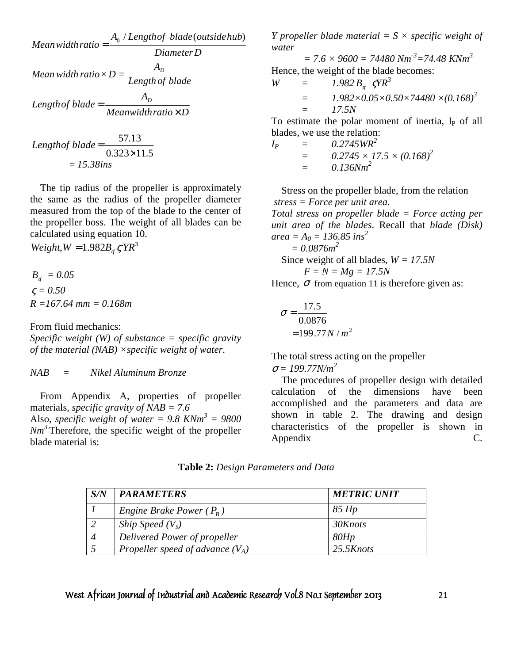Mean width ratio = 
$$
\frac{A_0 / Length of blade(outsidehub)}{Diameter D}
$$
  
Mean width ratio × D = 
$$
\frac{A_D}{Length of blade}
$$
  
Length of blade = 
$$
\frac{A_D}{Meanwidth ratio × D}
$$

Length of blade = 
$$
\frac{57.13}{0.323 \times 11.5}
$$

$$
= 15.38 \text{ins}
$$

 The tip radius of the propeller is approximately the same as the radius of the propeller diameter measured from the top of the blade to the center of the propeller boss. The weight of all blades can be calculated using equation 10.

 $Weight, W = 1.982B_f$ <sub>ff</sub>  $\zeta YR^3$ 

 $B_{\text{tf}} = 0.05$  $\zeta = 0.50$ *R =167.64 mm = 0.168m*

From fluid mechanics:

*Specific weight (W) of substance = specific gravity of the material (NAB)* ×*specific weight of water*.

*NAB = Nikel Aluminum Bronze*

 From Appendix A, properties of propeller materials, *specific gravity of NAB = 7.6*  Also, *specific weight of water = 9.8 KNm<sup>3</sup> = 9800 Nm3.*Therefore, the specific weight of the propeller blade material is:

*Y* propeller blade material  $= S \times$  specific weight of *water* 

 $= 7.6 \times 9600 = 74480 Nm<sup>3</sup> = 74.48 KNm<sup>3</sup>$ Hence, the weight of the blade becomes:

$$
W = 1.982 B_{tf} \zeta Y R^3
$$
  
= 1.982×0.05×0.50×74480 ×(0.168)<sup>3</sup>  
= 17.5N

To estimate the polar moment of inertia,  $I<sub>P</sub>$  of all blades, we use the relation:

$$
I_P = 0.2745WR^2
$$
  
= 0.2745 × 17.5 × (0.168)<sup>2</sup>  
= 0.136Nm<sup>2</sup>

 Stress on the propeller blade, from the relation *stress = Force per unit area. Total stress on propeller blade = Force acting per unit area of the blades*. Recall that *blade (Disk)*   $area = A_0 = 136.85$  ins<sup>2</sup>  *= 0.0876m<sup>2</sup>*

 Since weight of all blades, *W = 17.5N F = N = Mg = 17.5N*

Hence,  $\sigma$  from equation 11 is therefore given as:

$$
\sigma = \frac{17.5}{0.0876}
$$
  
= 199.77 N / m<sup>2</sup>

The total stress acting on the propeller  $\sigma = 199.77N/m^2$ 

 The procedures of propeller design with detailed calculation of the dimensions have been accomplished and the parameters and data are shown in table 2. The drawing and design characteristics of the propeller is shown in Appendix C.

| S/N | <b>PARAMETERS</b>                  | <b>METRIC UNIT</b> |
|-----|------------------------------------|--------------------|
|     | Engine Brake Power $(P_R)$         | 85 Hp              |
|     | Ship Speed $(V_s)$                 | 30Knots            |
|     | Delivered Power of propeller       | 80Hp               |
|     | Propeller speed of advance $(V_A)$ | 25.5Knots          |

**Table 2:** *Design Parameters and Data*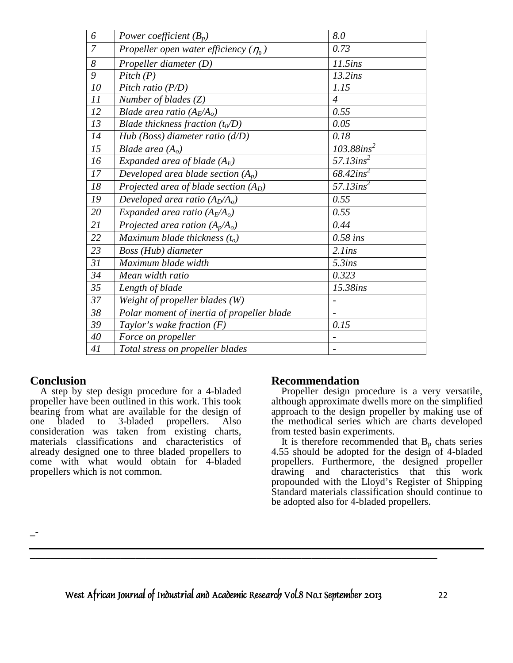| 6              | Power coefficient $(B_p)$                    | 8.0                          |
|----------------|----------------------------------------------|------------------------------|
| $\overline{7}$ | Propeller open water efficiency ( $\eta_0$ ) | 0.73                         |
| 8              | Propeller diameter (D)                       | 11.5ins                      |
| 9              | Pitch(P)                                     | 13.2ins                      |
| 10             | Pitch ratio (P/D)                            | 1.15                         |
| 11             | Number of blades $(Z)$                       | $\overline{4}$               |
| 12             | Blade area ratio $(A_E/A_o)$                 | 0.55                         |
| 13             | Blade thickness fraction $(t_0/D)$           | 0.05                         |
| 14             | Hub (Boss) diameter ratio $(d/D)$            | 0.18                         |
| 15             | Blade area $(A_o)$                           | $103.88$ ins <sup>2</sup>    |
| 16             | Expanded area of blade $(A_E)$               | $57.13$ ins <sup>2</sup>     |
| 17             | Developed area blade section $(A_p)$         | $68.42$ ins <sup>2</sup>     |
| 18             | Projected area of blade section $(A_D)$      | $57.13$ ins <sup>2</sup>     |
| 19             | Developed area ratio $(A_D/A_o)$             | 0.55                         |
| 20             | Expanded area ratio $(A_E/A_o)$              | 0.55                         |
| 21             | Projected area ration $(A_p/A_o)$            | 0.44                         |
| 22             | Maximum blade thickness $(t_o)$              | $0.58$ ins                   |
| 23             | Boss (Hub) diameter                          | $2.1$ ins                    |
| 31             | Maximum blade width                          | 5.3ins                       |
| 34             | Mean width ratio                             | 0.323                        |
| 35             | Length of blade                              | 15.38ins                     |
| 37             | Weight of propeller blades (W)               |                              |
| 38             | Polar moment of inertia of propeller blade   |                              |
| 39             | Taylor's wake fraction $(F)$                 | 0.15                         |
| 40             | Force on propeller                           | $\qquad \qquad \blacksquare$ |
| 41             | Total stress on propeller blades             |                              |

# **Conclusion**

 A step by step design procedure for a 4-bladed propeller have been outlined in this work. This took bearing from what are available for the design of one bladed to 3-bladed propellers. Also consideration was taken from existing charts, materials classifications and characteristics of already designed one to three bladed propellers to come with what would obtain for 4-bladed propellers which is not common.

## **Recommendation**

 Propeller design procedure is a very versatile, although approximate dwells more on the simplified approach to the design propeller by making use of the methodical series which are charts developed from tested basin experiments.

It is therefore recommended that  $B_p$  chats series 4.55 should be adopted for the design of 4-bladed propellers. Furthermore, the designed propeller drawing and characteristics that this work propounded with the Lloyd's Register of Shipping Standard materials classification should continue to be adopted also for 4-bladed propellers.

**\_-** 

*West African Journal of Industrial and Academic Research Vol.8 No.1 September 2013* 22

**\_\_\_\_\_\_\_\_\_\_\_\_\_\_\_\_\_\_\_\_\_\_\_\_\_\_\_\_\_\_\_\_\_\_\_\_\_\_\_\_\_\_\_\_\_\_\_\_\_\_\_\_\_\_\_\_\_\_\_\_\_\_\_\_\_\_\_\_\_\_\_\_\_\_\_\_\_\_\_\_\_**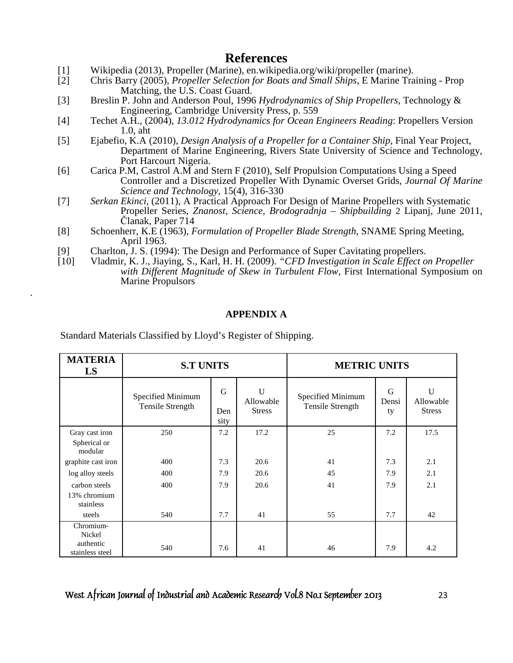# **References**

- [1] Wikipedia (2013), Propeller (Marine), en.wikipedia.org/wiki/propeller (marine).<br>[2] Chris Barry (2005), Propeller Selection for Boats and Small Ships, E Marine Tra
- [2] Chris Barry (2005), *Propeller Selection for Boats and Small Ships*, E Marine Training Prop Matching, the U.S. Coast Guard.
- [3] Breslin P. John and Anderson Poul, 1996 *Hydrodynamics of Ship Propellers*, Technology & Engineering, Cambridge University Press, p. 559<br>
[4] Techet A.H., (2004), 13.012 Hydrodynamics for Ocean B
- [4] Techet A.H., (2004), *13.012 Hydrodynamics for Ocean Engineers Reading*: Propellers Version 1.0, aht
- [5] Ejabefio, K.A (2010), *Design Analysis of a Propeller for a Container Ship*, Final Year Project, Department of Marine Engineering, Rivers State University of Science and Technology, Port Harcourt Nigeria.
- [6] Carica P.M, Castrol A.M and Stern F (2010), Self Propulsion Computations Using a Speed Controller and a Discretized Propeller With Dynamic Overset Grids, *Journal Of Marine Science and Technology*, 15(4), 316-330
- [7] *Serkan Ekinci,* (2011), A Practical Approach For Design of Marine Propellers with Systematic Propeller Series, *Znanost, Science, Brodogradnja – Shipbuilding* 2 Lipanj, June 2011, Članak, Paper 714
- [8] Schoenherr, K.E (1963), *Formulation of Propeller Blade Strength*, SNAME Spring Meeting, April 1963.
- [9] Charlton, J. S. (1994): The Design and Performance of Super Cavitating propellers.
- [10] Vladmir, K. J., Jiaying, S., Karl, H. H. (2009). *"CFD Investigation in Scale Effect on Propeller with Different Magnitude of Skew in Turbulent Flow*, First International Symposium on Marine Propulsors

# **APPENDIX A**

Standard Materials Classified by Lloyd's Register of Shipping.

.

| <b>MATERIA</b><br>LS                      | <b>S.T UNITS</b>                      |                  |                                 | <b>METRIC UNITS</b>                   |                  |                                           |
|-------------------------------------------|---------------------------------------|------------------|---------------------------------|---------------------------------------|------------------|-------------------------------------------|
|                                           | Specified Minimum<br>Tensile Strength | G<br>Den<br>sity | U<br>Allowable<br><b>Stress</b> | Specified Minimum<br>Tensile Strength | G<br>Densi<br>ty | $\mathbf U$<br>Allowable<br><b>Stress</b> |
| Gray cast iron<br>Spherical or<br>modular | 250                                   | 7.2              | 17.2                            | 25                                    | 7.2              | 17.5                                      |
| graphite cast iron                        | 400                                   | 7.3              | 20.6                            | 41                                    | 7.3              | 2.1                                       |
| log alloy steels                          | 400                                   | 7.9              | 20.6                            | 45                                    | 7.9              | 2.1                                       |
| carbon steels                             | 400                                   | 7.9              | 20.6                            | 41                                    | 7.9              | 2.1                                       |
| 13% chromium<br>stainless                 |                                       |                  |                                 |                                       |                  |                                           |
| steels                                    | 540                                   | 7.7              | 41                              | 55                                    | 7.7              | 42                                        |
| Chromium-<br>Nickel                       |                                       |                  |                                 |                                       |                  |                                           |
| authentic<br>stainless steel              | 540                                   | 7.6              | 41                              | 46                                    | 7.9              | 4.2                                       |